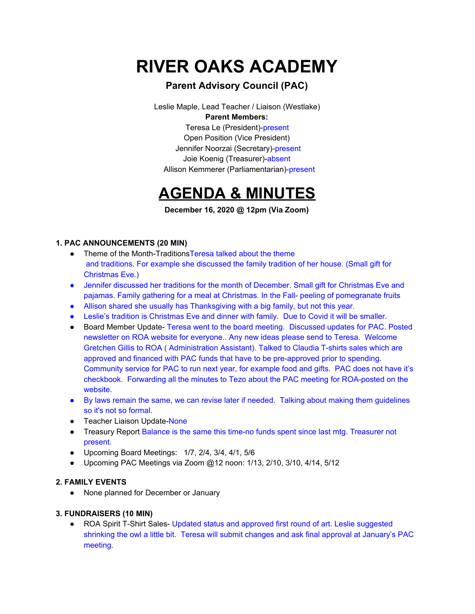# **RIVER OAKS ACADEMY**

### **Parent Advisory Council (PAC)**

Leslie Maple, Lead Teacher / Liaison (Westlake) **Parent Members:** Teresa Le (President)-present Open Position (Vice President) Jennifer Noorzai (Secretary)-present Joie Koenig (Treasurer)-absent

Allison Kemmerer (Parliamentarian)-present

## **AGENDA & MINUTES**

**December 16, 2020 @ 12pm (Via Zoom)**

#### **1. PAC ANNOUNCEMENTS (20 MIN)**

- Theme of the Month-TraditionsTeresa talked about the theme and traditions. For example she discussed the family tradition of her house. (Small gift for Christmas Eve.)
- Jennifer discussed her traditions for the month of December. Small gift for Christmas Eve and pajamas. Family gathering for a meal at Christmas. In the Fall- peeling of pomegranate fruits
- Allison shared she usually has Thanksgiving with a big family, but not this year.
- Leslie's tradition is Christmas Eve and dinner with family. Due to Covid it will be smaller.
- Board Member Update- Teresa went to the board meeting. Discussed updates for PAC. Posted newsletter on ROA website for everyone.. Any new ideas please send to Teresa. Welcome Gretchen Gillis to ROA ( Administration Assistant). Talked to Claudia T-shirts sales which are approved and financed with PAC funds that have to be pre-approved prior to spending. Community service for PAC to run next year, for example food and gifts. PAC does not have it's checkbook. Forwarding all the minutes to Tezo about the PAC meeting for ROA-posted on the website.
- By laws remain the same, we can revise later if needed. Talking about making them guidelines so it's not so formal.
- Teacher Liaison Update-None
- Treasury Report Balance is the same this time-no funds spent since last mtg. Treasurer not present.
- Upcoming Board Meetings: 1/7, 2/4, 3/4, 4/1, 5/6
- Upcoming PAC Meetings via Zoom @12 noon: 1/13, 2/10, 3/10, 4/14, 5/12

#### **2. FAMILY EVENTS**

● None planned for December or January

#### **3. FUNDRAISERS (10 MIN)**

● ROA Spirit T-Shirt Sales- Updated status and approved first round of art. Leslie suggested shrinking the owl a little bit. Teresa will submit changes and ask final approval at January's PAC meeting.